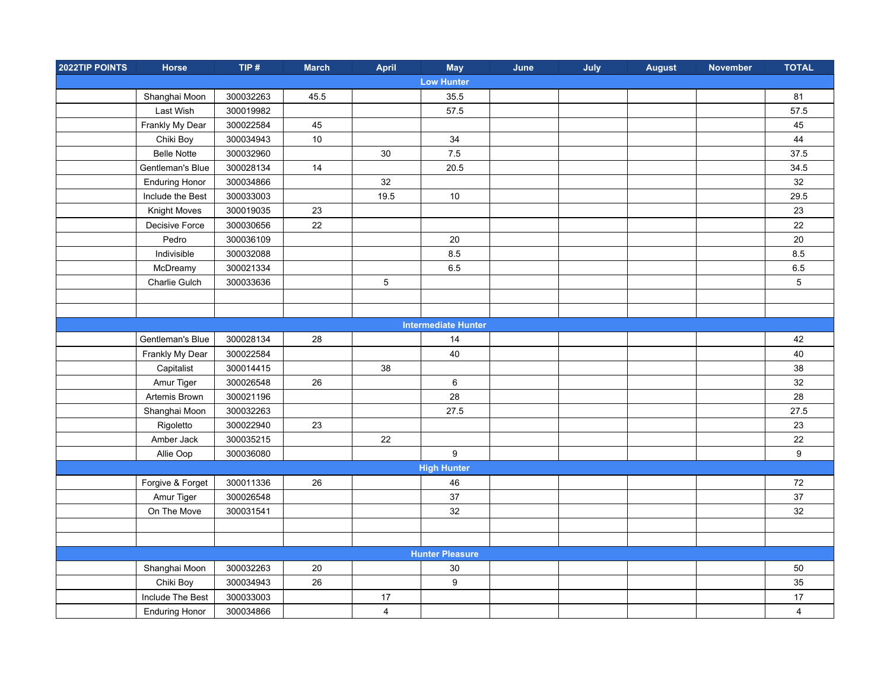| 2022TIP POINTS         | Horse                 | TIP#      | <b>March</b> | April          | <b>May</b>                 | June | July | <b>August</b> | <b>November</b> | <b>TOTAL</b>   |
|------------------------|-----------------------|-----------|--------------|----------------|----------------------------|------|------|---------------|-----------------|----------------|
| <b>Low Hunter</b>      |                       |           |              |                |                            |      |      |               |                 |                |
|                        | Shanghai Moon         | 300032263 | 45.5         |                | 35.5                       |      |      |               |                 | 81             |
|                        | Last Wish             | 300019982 |              |                | 57.5                       |      |      |               |                 | 57.5           |
|                        | Frankly My Dear       | 300022584 | 45           |                |                            |      |      |               |                 | 45             |
|                        | Chiki Boy             | 300034943 | 10           |                | 34                         |      |      |               |                 | 44             |
|                        | <b>Belle Notte</b>    | 300032960 |              | 30             | 7.5                        |      |      |               |                 | 37.5           |
|                        | Gentleman's Blue      | 300028134 | 14           |                | 20.5                       |      |      |               |                 | 34.5           |
|                        | <b>Enduring Honor</b> | 300034866 |              | 32             |                            |      |      |               |                 | 32             |
|                        | Include the Best      | 300033003 |              | 19.5           | $10$                       |      |      |               |                 | 29.5           |
|                        | <b>Knight Moves</b>   | 300019035 | 23           |                |                            |      |      |               |                 | 23             |
|                        | Decisive Force        | 300030656 | $22\,$       |                |                            |      |      |               |                 | 22             |
|                        | Pedro                 | 300036109 |              |                | 20                         |      |      |               |                 | 20             |
|                        | Indivisible           | 300032088 |              |                | $8.5\,$                    |      |      |               |                 | 8.5            |
|                        | McDreamy              | 300021334 |              |                | 6.5                        |      |      |               |                 | 6.5            |
|                        | Charlie Gulch         | 300033636 |              | $\,$ 5 $\,$    |                            |      |      |               |                 | $\sqrt{5}$     |
|                        |                       |           |              |                |                            |      |      |               |                 |                |
|                        |                       |           |              |                |                            |      |      |               |                 |                |
|                        |                       |           |              |                | <b>Intermediate Hunter</b> |      |      |               |                 |                |
|                        | Gentleman's Blue      | 300028134 | 28           |                | 14                         |      |      |               |                 | 42             |
|                        | Frankly My Dear       | 300022584 |              |                | 40                         |      |      |               |                 | 40             |
|                        | Capitalist            | 300014415 |              | 38             |                            |      |      |               |                 | 38             |
|                        | Amur Tiger            | 300026548 | 26           |                | 6                          |      |      |               |                 | 32             |
|                        | Artemis Brown         | 300021196 |              |                | 28                         |      |      |               |                 | 28             |
|                        | Shanghai Moon         | 300032263 |              |                | 27.5                       |      |      |               |                 | 27.5           |
|                        | Rigoletto             | 300022940 | 23           |                |                            |      |      |               |                 | 23             |
|                        | Amber Jack            | 300035215 |              | 22             |                            |      |      |               |                 | 22             |
|                        | Allie Oop             | 300036080 |              |                | $\boldsymbol{9}$           |      |      |               |                 | 9              |
|                        |                       |           |              |                | <b>High Hunter</b>         |      |      |               |                 |                |
|                        | Forgive & Forget      | 300011336 | 26           |                | 46                         |      |      |               |                 | 72             |
|                        | Amur Tiger            | 300026548 |              |                | 37                         |      |      |               |                 | 37             |
|                        | On The Move           | 300031541 |              |                | 32                         |      |      |               |                 | 32             |
|                        |                       |           |              |                |                            |      |      |               |                 |                |
|                        |                       |           |              |                |                            |      |      |               |                 |                |
| <b>Hunter Pleasure</b> |                       |           |              |                |                            |      |      |               |                 |                |
|                        | Shanghai Moon         | 300032263 | 20           |                | $30\,$                     |      |      |               |                 | $50\,$         |
|                        | Chiki Boy             | 300034943 | 26           |                | $\boldsymbol{9}$           |      |      |               |                 | 35             |
|                        | Include The Best      | 300033003 |              | $17$           |                            |      |      |               |                 | 17             |
|                        | <b>Enduring Honor</b> | 300034866 |              | $\overline{4}$ |                            |      |      |               |                 | $\overline{4}$ |